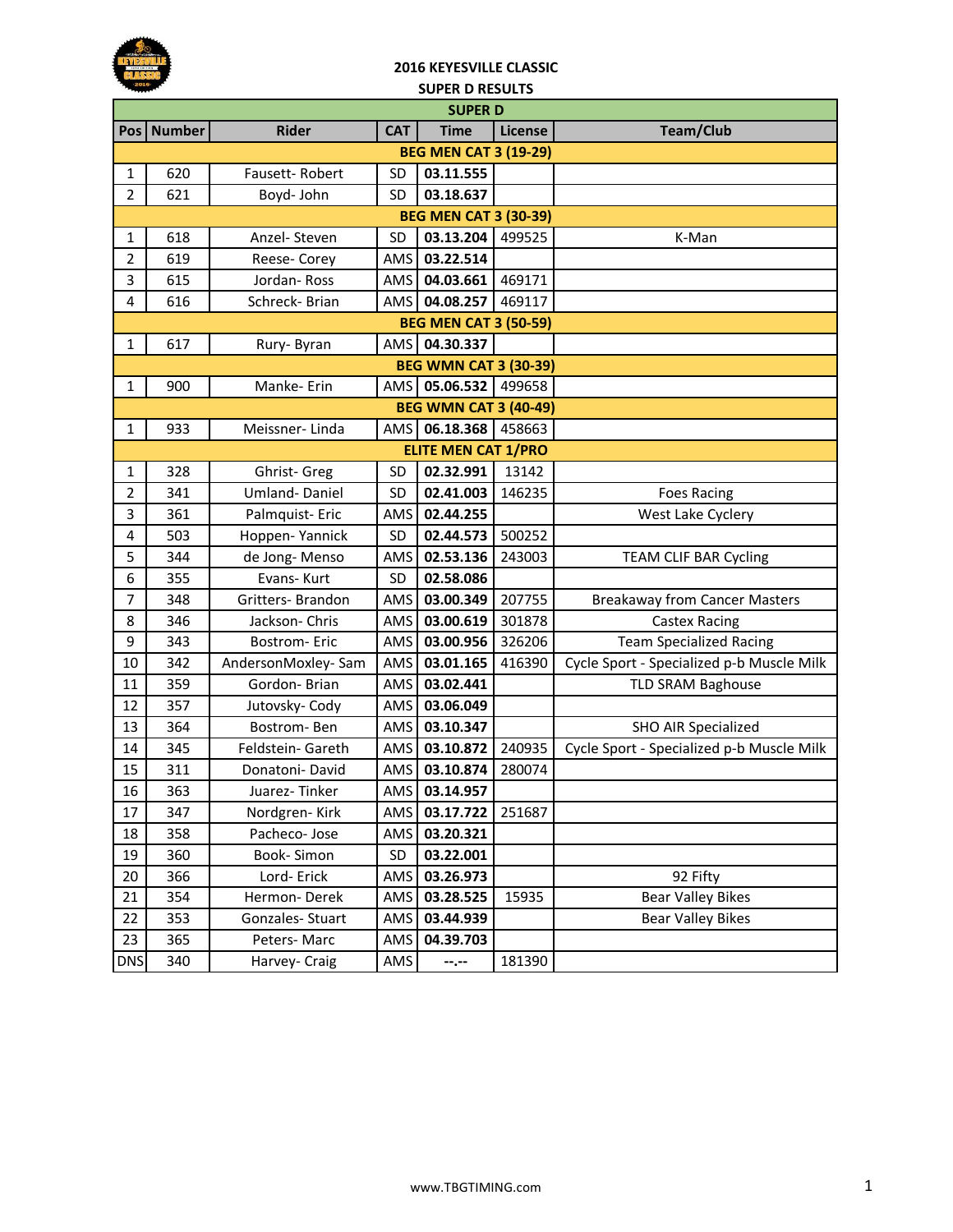| ., |
|----|
|    |

## **2016 KEYESVILLE CLASSIC SUPER D RESULTS**

| <b>SUPER D</b> |                              |                     |            |                              |         |                                           |  |  |
|----------------|------------------------------|---------------------|------------|------------------------------|---------|-------------------------------------------|--|--|
|                | Pos   Number                 | <b>Rider</b>        | <b>CAT</b> | <b>Time</b>                  | License | Team/Club                                 |  |  |
|                | <b>BEG MEN CAT 3 (19-29)</b> |                     |            |                              |         |                                           |  |  |
| $\mathbf{1}$   | 620                          | Fausett-Robert      | SD         | 03.11.555                    |         |                                           |  |  |
| $\overline{2}$ | 621                          | Boyd- John          | SD         | 03.18.637                    |         |                                           |  |  |
|                |                              |                     |            | <b>BEG MEN CAT 3 (30-39)</b> |         |                                           |  |  |
| 1              | 618                          | Anzel-Steven        | <b>SD</b>  | 03.13.204                    | 499525  | K-Man                                     |  |  |
| $\overline{2}$ | 619                          | Reese- Corey        | AMS        | 03.22.514                    |         |                                           |  |  |
| 3              | 615                          | Jordan-Ross         | AMS        | 04.03.661                    | 469171  |                                           |  |  |
| 4              | 616                          | Schreck- Brian      | AMS        | 04.08.257                    | 469117  |                                           |  |  |
|                | <b>BEG MEN CAT 3 (50-59)</b> |                     |            |                              |         |                                           |  |  |
| $\mathbf{1}$   | 617                          | Rury-Byran          | AMS        | 04.30.337                    |         |                                           |  |  |
|                |                              |                     |            | <b>BEG WMN CAT 3 (30-39)</b> |         |                                           |  |  |
| 1              | 900                          | Manke-Erin          | AMS        | 05.06.532                    | 499658  |                                           |  |  |
|                |                              |                     |            | <b>BEG WMN CAT 3 (40-49)</b> |         |                                           |  |  |
| $\mathbf{1}$   | 933                          | Meissner-Linda      | AMS        | 06.18.368                    | 458663  |                                           |  |  |
|                |                              |                     |            | <b>ELITE MEN CAT 1/PRO</b>   |         |                                           |  |  |
| $\mathbf{1}$   | 328                          | Ghrist- Greg        | <b>SD</b>  | 02.32.991                    | 13142   |                                           |  |  |
| $\overline{2}$ | 341                          | Umland-Daniel       | <b>SD</b>  | 02.41.003                    | 146235  | <b>Foes Racing</b>                        |  |  |
| 3              | 361                          | Palmquist-Eric      | AMS        | 02.44.255                    |         | West Lake Cyclery                         |  |  |
| 4              | 503                          | Hoppen- Yannick     | <b>SD</b>  | 02.44.573                    | 500252  |                                           |  |  |
| 5              | 344                          | de Jong-Menso       | AMS        | 02.53.136                    | 243003  | TEAM CLIF BAR Cycling                     |  |  |
| 6              | 355                          | Evans-Kurt          | <b>SD</b>  | 02.58.086                    |         |                                           |  |  |
| $\overline{7}$ | 348                          | Gritters- Brandon   | AMS        | 03.00.349                    | 207755  | <b>Breakaway from Cancer Masters</b>      |  |  |
| 8              | 346                          | Jackson-Chris       | AMS        | 03.00.619                    | 301878  | <b>Castex Racing</b>                      |  |  |
| 9              | 343                          | <b>Bostrom-Eric</b> | AMS        | 03.00.956                    | 326206  | <b>Team Specialized Racing</b>            |  |  |
| 10             | 342                          | AndersonMoxley-Sam  | AMS        | 03.01.165                    | 416390  | Cycle Sport - Specialized p-b Muscle Milk |  |  |
| 11             | 359                          | Gordon-Brian        | AMS        | 03.02.441                    |         | <b>TLD SRAM Baghouse</b>                  |  |  |
| 12             | 357                          | Jutovsky-Cody       | AMS        | 03.06.049                    |         |                                           |  |  |
| 13             | 364                          | Bostrom-Ben         | AMS        | 03.10.347                    |         | <b>SHO AIR Specialized</b>                |  |  |
| 14             | 345                          | Feldstein- Gareth   | AMS        | 03.10.872                    | 240935  | Cycle Sport - Specialized p-b Muscle Milk |  |  |
| 15             | 311                          | Donatoni-David      | AMS        | 03.10.874                    | 280074  |                                           |  |  |
| 16             | 363                          | Juarez-Tinker       |            | AMS 03.14.957                |         |                                           |  |  |
| 17             | 347                          | Nordgren-Kirk       | AMS        | 03.17.722                    | 251687  |                                           |  |  |
| 18             | 358                          | Pacheco-Jose        | AMS        | 03.20.321                    |         |                                           |  |  |
| 19             | 360                          | Book-Simon          | SD         | 03.22.001                    |         |                                           |  |  |
| 20             | 366                          | Lord-Erick          | AMS        | 03.26.973                    |         | 92 Fifty                                  |  |  |
| 21             | 354                          | Hermon-Derek        | AMS        | 03.28.525                    | 15935   | <b>Bear Valley Bikes</b>                  |  |  |
| 22             | 353                          | Gonzales-Stuart     | AMS        | 03.44.939                    |         | <b>Bear Valley Bikes</b>                  |  |  |
| 23             | 365                          | Peters-Marc         | AMS        | 04.39.703                    |         |                                           |  |  |
| <b>DNS</b>     | 340                          | Harvey- Craig       | AMS        | $-$ , $-$                    | 181390  |                                           |  |  |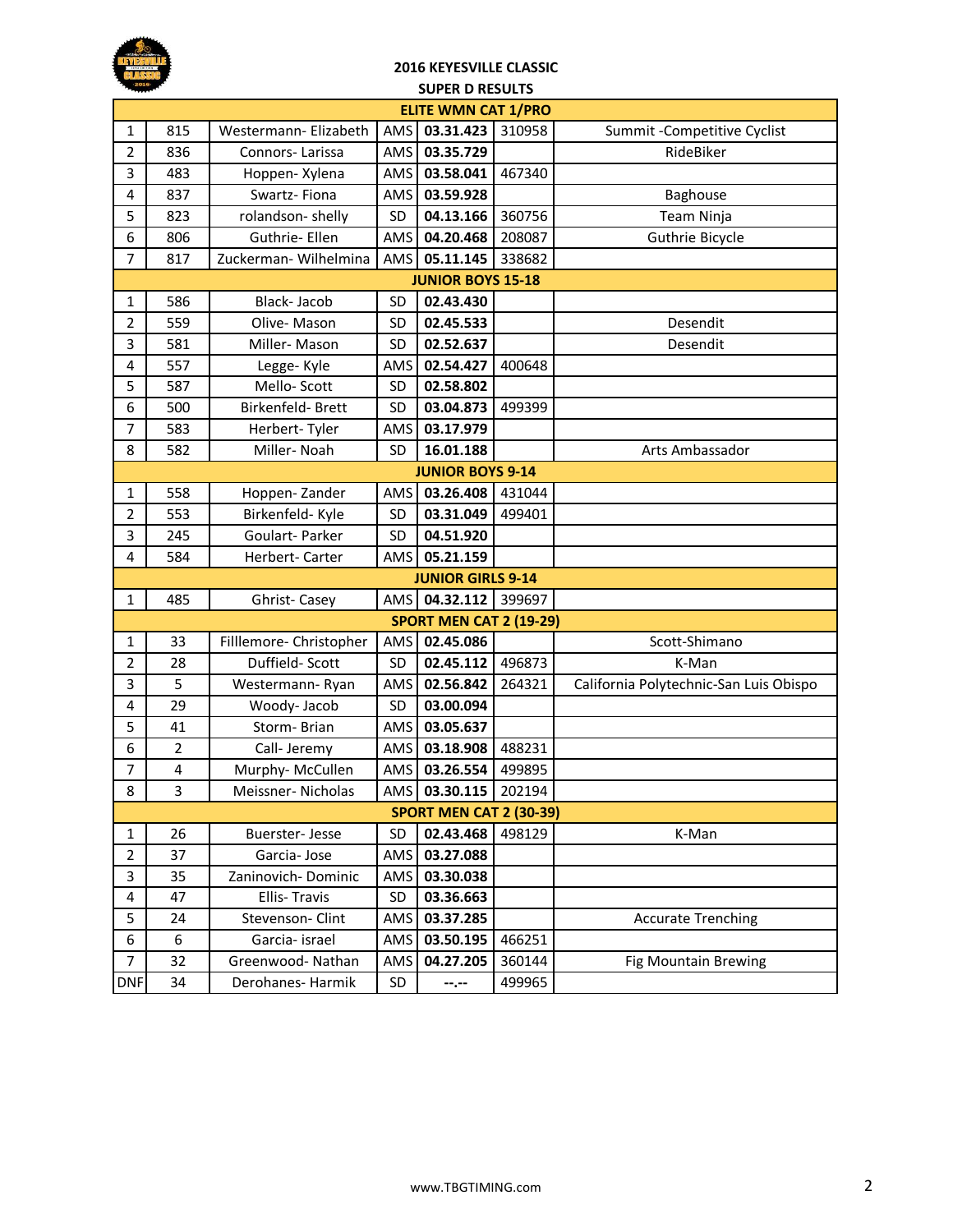

## **2016 KEYESVILLE CLASSIC SUPER D RESULTS**

| <b>ELITE WMN CAT 1/PRO</b>     |                  |                         |            |                                |        |                                        |  |
|--------------------------------|------------------|-------------------------|------------|--------------------------------|--------|----------------------------------------|--|
| 1                              | 815              | Westermann- Elizabeth   | <b>AMS</b> | 03.31.423                      | 310958 | Summit - Competitive Cyclist           |  |
| $\overline{2}$                 | 836              | Connors-Larissa         | AMS        | 03.35.729                      |        | RideBiker                              |  |
| 3                              | 483              | Hoppen- Xylena          | AMS        | 03.58.041                      | 467340 |                                        |  |
| $\overline{4}$                 | 837              | Swartz-Fiona            | AMS        | 03.59.928                      |        | Baghouse                               |  |
| 5                              | 823              | rolandson-shelly        | SD         | 04.13.166                      | 360756 | Team Ninja                             |  |
| 6                              | 806              | Guthrie- Ellen          | AMS        | 04.20.468                      | 208087 | <b>Guthrie Bicycle</b>                 |  |
| $\overline{7}$                 | 817              | Zuckerman- Wilhelmina   | AMS        | 05.11.145                      | 338682 |                                        |  |
| <b>JUNIOR BOYS 15-18</b>       |                  |                         |            |                                |        |                                        |  |
| $\mathbf{1}$                   | 586              | Black-Jacob             | SD         | 02.43.430                      |        |                                        |  |
| $\overline{2}$                 | 559              | Olive-Mason             | <b>SD</b>  | 02.45.533                      |        | Desendit                               |  |
| 3                              | 581              | Miller-Mason            | SD         | 02.52.637                      |        | Desendit                               |  |
| 4                              | 557              | Legge-Kyle              | AMS        | 02.54.427                      | 400648 |                                        |  |
| 5                              | 587              | Mello-Scott             | <b>SD</b>  | 02.58.802                      |        |                                        |  |
| 6                              | 500              | Birkenfeld-Brett        | <b>SD</b>  | 03.04.873                      | 499399 |                                        |  |
| $\overline{7}$                 | 583              | Herbert-Tyler           | AMS        | 03.17.979                      |        |                                        |  |
| 8                              | 582              | Miller-Noah             | <b>SD</b>  | 16.01.188                      |        | Arts Ambassador                        |  |
| <b>JUNIOR BOYS 9-14</b>        |                  |                         |            |                                |        |                                        |  |
| $\mathbf{1}$                   | 558              | Hoppen-Zander           | AMS        | 03.26.408                      | 431044 |                                        |  |
| $\overline{2}$                 | 553              | Birkenfeld- Kyle        | <b>SD</b>  | 03.31.049                      | 499401 |                                        |  |
| 3                              | 245              | Goulart- Parker         | SD         | 04.51.920                      |        |                                        |  |
| 4                              | 584              | Herbert- Carter         | AMS        | 05.21.159                      |        |                                        |  |
|                                |                  |                         |            | <b>JUNIOR GIRLS 9-14</b>       |        |                                        |  |
| $\mathbf{1}$                   | 485              | Ghrist-Casey            | AMS        | 04.32.112                      | 399697 |                                        |  |
|                                |                  |                         |            | <b>SPORT MEN CAT 2 (19-29)</b> |        |                                        |  |
| $\mathbf{1}$                   | 33               | Filllemore- Christopher | <b>AMS</b> | 02.45.086                      |        | Scott-Shimano                          |  |
| $\overline{2}$                 | 28               | Duffield-Scott          | SD         | 02.45.112                      | 496873 | K-Man                                  |  |
| 3                              | 5                | Westermann-Ryan         | AMS        | 02.56.842                      | 264321 | California Polytechnic-San Luis Obispo |  |
| 4                              | 29               | Woody- Jacob            | SD         | 03.00.094                      |        |                                        |  |
| 5                              | 41               | Storm-Brian             | AMS        | 03.05.637                      |        |                                        |  |
| 6                              | $\overline{2}$   | Call- Jeremy            | <b>AMS</b> | 03.18.908                      | 488231 |                                        |  |
| 7                              | 4                | Murphy-McCullen         | AMS        | 03.26.554                      | 499895 |                                        |  |
| 8                              | 3                | Meissner-Nicholas       |            | AMS 03.30.115 202194           |        |                                        |  |
| <b>SPORT MEN CAT 2 (30-39)</b> |                  |                         |            |                                |        |                                        |  |
| $\mathbf{1}$                   | 26               | Buerster-Jesse          | SD         | 02.43.468                      | 498129 | K-Man                                  |  |
| $\overline{2}$                 | 37               | Garcia-Jose             | AMS        | 03.27.088                      |        |                                        |  |
| 3                              | 35               | Zaninovich-Dominic      | AMS        | 03.30.038                      |        |                                        |  |
| 4                              | 47               | Ellis-Travis            | <b>SD</b>  | 03.36.663                      |        |                                        |  |
| 5                              | 24               | Stevenson- Clint        | AMS        | 03.37.285                      |        | <b>Accurate Trenching</b>              |  |
| 6                              | $\boldsymbol{6}$ | Garcia- israel          | AMS        | 03.50.195                      | 466251 |                                        |  |
| $\overline{7}$                 | 32               | Greenwood- Nathan       | AMS        | 04.27.205                      | 360144 | <b>Fig Mountain Brewing</b>            |  |
| <b>DNF</b>                     | 34               | Derohanes- Harmik       | <b>SD</b>  | $-1$ , $-1$                    | 499965 |                                        |  |